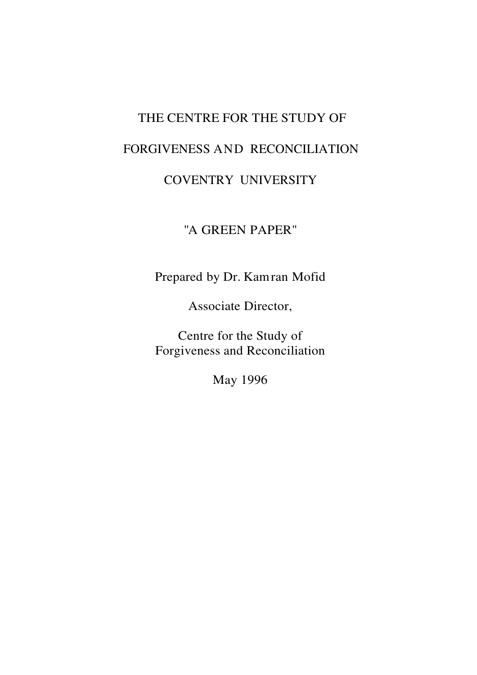# THE CENTRE FOR THE STUDY OF FORGIVENESS AND RECONCILIATION

# COVENTRY UNIVERSITY

# "A GREEN PAPER"

Prepared by Dr. Kamran Mofid

Associate Director,

Centre for the Study of Forgiveness and Reconciliation

May 1996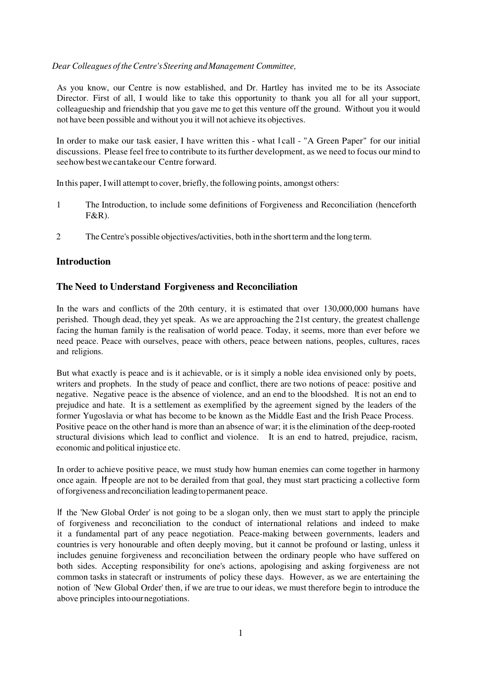#### *Dear Colleagues of the Centre's Steering and Management Committee,*

As you know, our Centre is now established, and Dr. Hartley has invited me to be its Associate Director. First of all, I would like to take this opportunity to thank you all for all your support, colleagueship and friendship that you gave me to get this venture off the ground. Without you it would not have been possible and without you it will not achieve its objectives.

In order to make our task easier, I have written this - what I call - "A Green Paper" for our initial discussions. Please feel free to contribute to its further development, as we need to focus our mind to see how best we can take our Centre forward.

In this paper, I will attempt to cover, briefly, the following points, amongst others:

- 1 The Introduction, to include some definitions of Forgiveness and Reconciliation (henceforth F&R).
- 2 The Centre's possible objectives/activities, both in the short term and the long term.

## **Introduction**

## **The Need to Understand Forgiveness and Reconciliation**

In the wars and conflicts of the 20th century, it is estimated that over 130,000,000 humans have perished. Though dead, they yet speak. As we are approaching the 21st century, the greatest challenge facing the human family is the realisation of world peace. Today, it seems, more than ever before we need peace. Peace with ourselves, peace with others, peace between nations, peoples, cultures, races and religions.

But what exactly is peace and is it achievable, or is it simply a noble idea envisioned only by poets, writers and prophets. In the study of peace and conflict, there are two notions of peace: positive and negative. Negative peace is the absence of violence, and an end to the bloodshed. It is not an end to prejudice and hate. It is a settlement as exemplified by the agreement signed by the leaders of the former Yugoslavia or what has become to be known as the Middle East and the Irish Peace Process. Positive peace on the other hand is more than an absence of war; it is the elimination of the deep-rooted structural divisions which lead to conflict and violence. It is an end to hatred, prejudice, racism, economic and political injustice etc.

In order to achieve positive peace, we must study how human enemies can come together in harmony once again. If people are not to be derailed from that goal, they must start practicing a collective form of forgiveness and reconciliation leading to permanent peace.

If the 'New Global Order' is not going to be a slogan only, then we must start to apply the principle of forgiveness and reconciliation to the conduct of international relations and indeed to make it a fundamental part of any peace negotiation. Peace-making between governments, leaders and countries is very honourable and often deeply moving, but it cannot be profound or lasting, unless it includes genuine forgiveness and reconciliation between the ordinary people who have suffered on both sides. Accepting responsibility for one's actions, apologising and asking forgiveness are not common tasks in statecraft or instruments of policy these days. However, as we are entertaining the notion of 'New Global Order' then, if we are true to our ideas, we must therefore begin to introduce the above principles into our negotiations.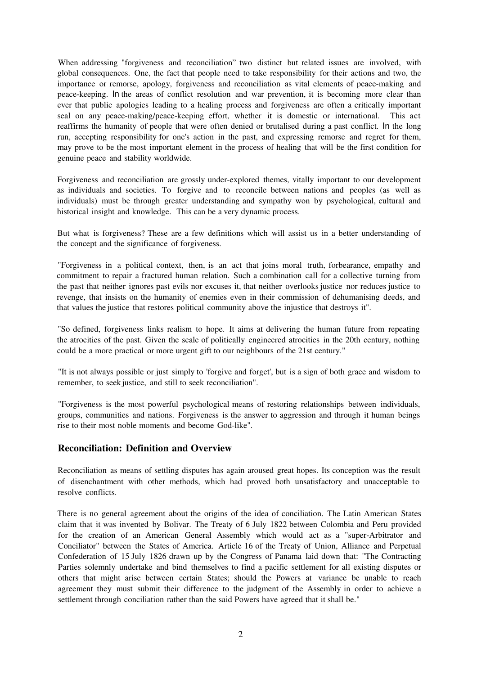When addressing "forgiveness and reconciliation" two distinct but related issues are involved, with global consequences. One, the fact that people need to take responsibility for their actions and two, the importance or remorse, apology, forgiveness and reconciliation as vital elements of peace-making and peace-keeping. In the areas of conflict resolution and war prevention, it is becoming more clear than ever that public apologies leading to a healing process and forgiveness are often a critically important seal on any peace-making/peace-keeping effort, whether it is domestic or international. This act reaffirms the humanity of people that were often denied or brutalised during a past conflict. In the long run, accepting responsibility for one's action in the past, and expressing remorse and regret for them, may prove to be the most important element in the process of healing that will be the first condition for genuine peace and stability worldwide.

Forgiveness and reconciliation are grossly under-explored themes, vitally important to our development as individuals and societies. To forgive and to reconcile between nations and peoples (as well as individuals) must be through greater understanding and sympathy won by psychological, cultural and historical insight and knowledge. This can be a very dynamic process.

But what is forgiveness? These are a few definitions which will assist us in a better understanding of the concept and the significance of forgiveness.

"Forgiveness in a political context, then, is an act that joins moral truth, forbearance, empathy and commitment to repair a fractured human relation. Such a combination call for a collective turning from the past that neither ignores past evils nor excuses it, that neither overlooks justice nor reduces justice to revenge, that insists on the humanity of enemies even in their commission of dehumanising deeds, and that values the justice that restores political community above the injustice that destroys it".

"So defined, forgiveness links realism to hope. It aims at delivering the human future from repeating the atrocities of the past. Given the scale of politically engineered atrocities in the 20th century, nothing could be a more practical or more urgent gift to our neighbours of the 21st century."

"It is not always possible or just simply to 'forgive and forget', but is a sign of both grace and wisdom to remember, to seek justice, and still to seek reconciliation".

"Forgiveness is the most powerful psychological means of restoring relationships between individuals, groups, communities and nations. Forgiveness is the answer to aggression and through it human beings rise to their most noble moments and become God-like".

#### **Reconciliation: Definition and Overview**

Reconciliation as means of settling disputes has again aroused great hopes. Its conception was the result of disenchantment with other methods, which had proved both unsatisfactory and unacceptable to resolve conflicts.

There is no general agreement about the origins of the idea of conciliation. The Latin American States claim that it was invented by Bolivar. The Treaty of 6 July 1822 between Colombia and Peru provided for the creation of an American General Assembly which would act as a "super-Arbitrator and Conciliator" between the States of America. Article 16 of the Treaty of Union, Alliance and Perpetual Confederation of 15 July 1826 drawn up by the Congress of Panama laid down that: "The Contracting Parties solemnly undertake and bind themselves to find a pacific settlement for all existing disputes or others that might arise between certain States; should the Powers at variance be unable to reach agreement they must submit their difference to the judgment of the Assembly in order to achieve a settlement through conciliation rather than the said Powers have agreed that it shall be."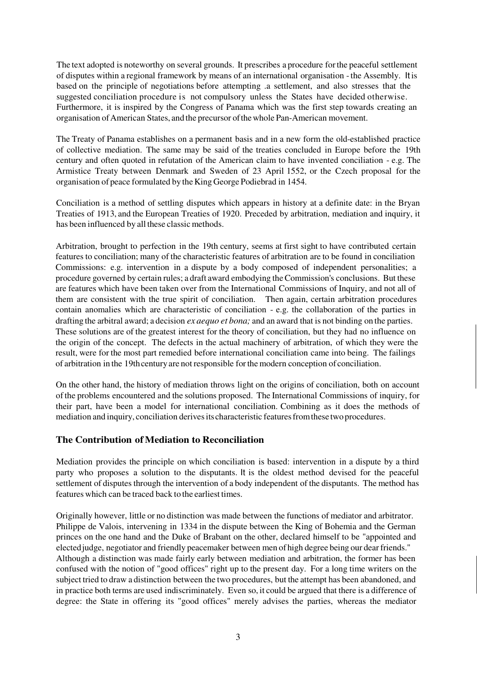The text adopted is noteworthy on several grounds. It prescribes a procedure for the peaceful settlement of disputes within a regional framework by means of an international organisation - the Assembly. It is based on the principle of negotiations before attempting .a settlement, and also stresses that the suggested conciliation procedure is not compulsory unless the States have decided otherwise. Furthermore, it is inspired by the Congress of Panama which was the first step towards creating an organisation of American States, and the precursor of the whole Pan-American movement.

The Treaty of Panama establishes on a permanent basis and in a new form the old-established practice of collective mediation. The same may be said of the treaties concluded in Europe before the 19th century and often quoted in refutation of the American claim to have invented conciliation - e.g. The Armistice Treaty between Denmark and Sweden of 23 April 1552, or the Czech proposal for the organisation of peace formulated by the King George Podiebrad in 1454.

Conciliation is a method of settling disputes which appears in history at a definite date: in the Bryan Treaties of 1913, and the European Treaties of 1920. Preceded by arbitration, mediation and inquiry, it has been influenced by all these classic methods.

Arbitration, brought to perfection in the 19th century, seems at first sight to have contributed certain features to conciliation; many of the characteristic features of arbitration are to be found in conciliation Commissions: e.g. intervention in a dispute by a body composed of independent personalities; a procedure governed by certain rules; a draft award embodying the Commission's conclusions. But these are features which have been taken over from the International Commissions of Inquiry, and not all of them are consistent with the true spirit of conciliation. Then again, certain arbitration procedures contain anomalies which are characteristic of conciliation - e.g. the collaboration of the parties in drafting the arbitral award; a decision *ex aequo et bona;* and an award that is not binding on the parties. These solutions are of the greatest interest for the theory of conciliation, but they had no influence on the origin of the concept. The defects in the actual machinery of arbitration, of which they were the result, were for the most part remedied before international conciliation came into being. The failings of arbitration in the 19th century are not responsible for the modern conception of conciliation.

On the other hand, the history of mediation throws light on the origins of conciliation, both on account of the problems encountered and the solutions proposed. The International Commissions of inquiry, for their part, have been a model for international conciliation. Combining as it does the methods of mediation and inquiry, conciliation derives its characteristic features from these two procedures.

#### **The Contribution of Mediation to Reconciliation**

Mediation provides the principle on which conciliation is based: intervention in a dispute by a third party who proposes a solution to the disputants. It is the oldest method devised for the peaceful settlement of disputes through the intervention of a body independent of the disputants. The method has features which can be traced back to the earliest times.

Originally however, little or no distinction was made between the functions of mediator and arbitrator. Philippe de Valois, intervening in 1334 in the dispute between the King of Bohemia and the German princes on the one hand and the Duke of Brabant on the other, declared himself to be "appointed and elected judge, negotiator and friendly peacemaker between men of high degree being our dear friends." Although a distinction was made fairly early between mediation and arbitration, the former has been confused with the notion of "good offices" right up to the present day. For a long time writers on the subject tried to draw a distinction between the two procedures, but the attempt has been abandoned, and in practice both terms are used indiscriminately. Even so, it could be argued that there is a difference of degree: the State in offering its "good offices" merely advises the parties, whereas the mediator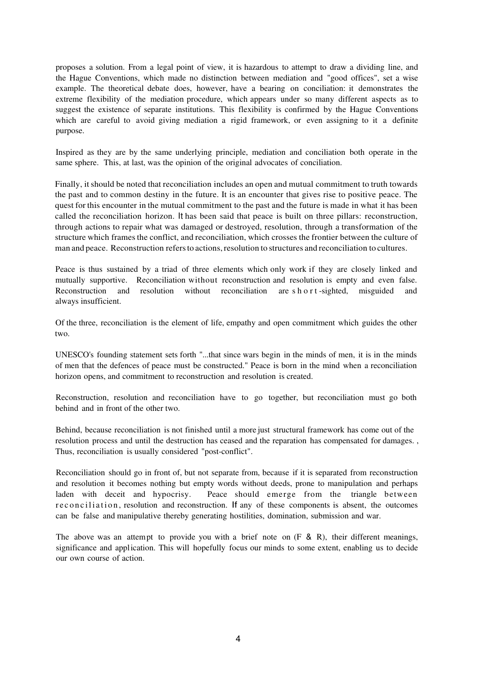proposes a solution. From a legal point of view, it is hazardous to attempt to draw a dividing line, and the Hague Conventions, which made no distinction between mediation and "good offices", set a wise example. The theoretical debate does, however, have a bearing on conciliation: it demonstrates the extreme flexibility of the mediation procedure, which appears under so many different aspects as to suggest the existence of separate institutions. This flexibility is confirmed by the Hague Conventions which are careful to avoid giving mediation a rigid framework, or even assigning to it a definite purpose.

Inspired as they are by the same underlying principle, mediation and conciliation both operate in the same sphere. This, at last, was the opinion of the original advocates of conciliation.

Finally, it should be noted that reconciliation includes an open and mutual commitment to truth towards the past and to common destiny in the future. It is an encounter that gives rise to positive peace. The quest for this encounter in the mutual commitment to the past and the future is made in what it has been called the reconciliation horizon. It has been said that peace is built on three pillars: reconstruction, through actions to repair what was damaged or destroyed, resolution, through a transformation of the structure which frames the conflict, and reconciliation, which crosses the frontier between the culture of man and peace. Reconstruction refers to actions, resolution to structures and reconciliation to cultures.

Peace is thus sustained by a triad of three elements which only work if they are closely linked and mutually supportive. Reconciliation without reconstruction and resolution is empty and even false. Reconstruction and resolution without reconciliation are s h o r t -sighted, misguided and always insufficient.

Of the three, reconciliation is the element of life, empathy and open commitment which guides the other two.

UNESCO's founding statement sets forth "...that since wars begin in the minds of men, it is in the minds of men that the defences of peace must be constructed." Peace is born in the mind when a reconciliation horizon opens, and commitment to reconstruction and resolution is created.

Reconstruction, resolution and reconciliation have to go together, but reconciliation must go both behind and in front of the other two.

Behind, because reconciliation is not finished until a more just structural framework has come out of the resolution process and until the destruction has ceased and the reparation has compensated for damages. , Thus, reconciliation is usually considered "post-conflict".

Reconciliation should go in front of, but not separate from, because if it is separated from reconstruction and resolution it becomes nothing but empty words without deeds, prone to manipulation and perhaps laden with deceit and hypocrisy. Peace should emerge from the triangle between reconciliation, resolution and reconstruction. If any of these components is absent, the outcomes can be false and manipulative thereby generating hostilities, domination, submission and war.

The above was an attempt to provide you with a brief note on  $(F \& R)$ , their different meanings, significance and application. This will hopefully focus our minds to some extent, enabling us to decide our own course of action.